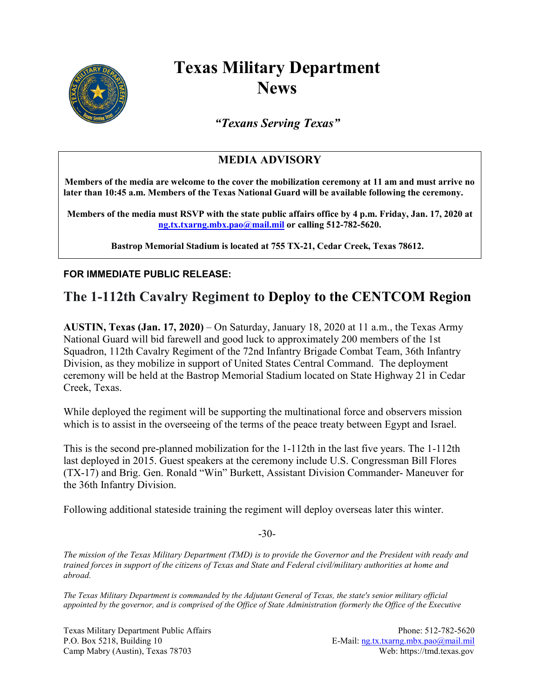

## **Texas Military Department News**

*"Texans Serving Texas"*

## **MEDIA ADVISORY**

**Members of the media are welcome to the cover the mobilization ceremony at 11 am and must arrive no later than 10:45 a.m. Members of the Texas National Guard will be available following the ceremony.** 

**Members of the media must RSVP with the state public affairs office by 4 p.m. Friday, Jan. 17, 2020 at [ng.tx.txarng.mbx.pao@mail.mil](mailto:ng.tx.txarng.mbx.pao@mail.mil) or calling 512-782-5620.**

**Bastrop Memorial Stadium is located at 755 TX-21, Cedar Creek, Texas 78612.**

## **FOR IMMEDIATE PUBLIC RELEASE:**

## **The 1-112th Cavalry Regiment to Deploy to the CENTCOM Region**

**AUSTIN, Texas (Jan. 17, 2020)** – On Saturday, January 18, 2020 at 11 a.m., the Texas Army National Guard will bid farewell and good luck to approximately 200 members of the 1st Squadron, 112th Cavalry Regiment of the 72nd Infantry Brigade Combat Team, 36th Infantry Division, as they mobilize in support of United States Central Command. The deployment ceremony will be held at the Bastrop Memorial Stadium located on State Highway 21 in Cedar Creek, Texas.

While deployed the regiment will be supporting the multinational force and observers mission which is to assist in the overseeing of the terms of the peace treaty between Egypt and Israel.

This is the second pre-planned mobilization for the 1-112th in the last five years. The 1-112th last deployed in 2015. Guest speakers at the ceremony include U.S. Congressman Bill Flores (TX-17) and Brig. Gen. Ronald "Win" Burkett, Assistant Division Commander- Maneuver for the 36th Infantry Division.

Following additional stateside training the regiment will deploy overseas later this winter.

-30-

*The mission of the Texas Military Department (TMD) is to provide the Governor and the President with ready and trained forces in support of the citizens of Texas and State and Federal civil/military authorities at home and abroad.*

*The Texas Military Department is commanded by the Adjutant General of Texas, the state's senior military official appointed by the governor, and is comprised of the Office of State Administration (formerly the Office of the Executive* 

Texas Military Department Public Affairs **Phone: 512-782-5620** P.O. Box 5218, Building 10 E-Mail: [ng.tx.txarng.mbx.pao@mail.mil](mailto:ng.tx.txarng.mbx.pao@mail.mil) Camp Mabry (Austin), Texas 78703 Web: https://tmd.texas.gov